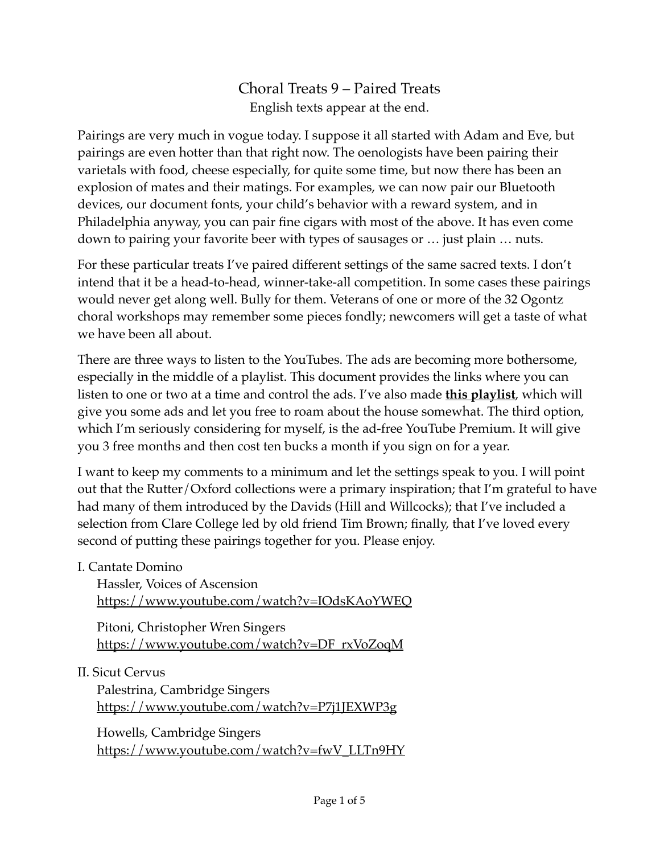Choral Treats 9 – Paired Treats English texts appear at the end.

Pairings are very much in vogue today. I suppose it all started with Adam and Eve, but pairings are even hotter than that right now. The oenologists have been pairing their varietals with food, cheese especially, for quite some time, but now there has been an explosion of mates and their matings. For examples, we can now pair our Bluetooth devices, our document fonts, your child's behavior with a reward system, and in Philadelphia anyway, you can pair fine cigars with most of the above. It has even come down to pairing your favorite beer with types of sausages or … just plain … nuts.

For these particular treats I've paired different settings of the same sacred texts. I don't intend that it be a head-to-head, winner-take-all competition. In some cases these pairings would never get along well. Bully for them. Veterans of one or more of the 32 Ogontz choral workshops may remember some pieces fondly; newcomers will get a taste of what we have been all about.

There are three ways to listen to the YouTubes. The ads are becoming more bothersome, especially in the middle of a playlist. This document provides the links where you can listen to one or two at a time and control the ads. I've also made **[this playlist](https://youtube.com/playlist?list=PLzc70e2Scaa20DfOJhfkXrpVh6W1DzRFX)**, which will give you some ads and let you free to roam about the house somewhat. The third option, which I'm seriously considering for myself, is the ad-free YouTube Premium. It will give you 3 free months and then cost ten bucks a month if you sign on for a year.

I want to keep my comments to a minimum and let the settings speak to you. I will point out that the Rutter/Oxford collections were a primary inspiration; that I'm grateful to have had many of them introduced by the Davids (Hill and Willcocks); that I've included a selection from Clare College led by old friend Tim Brown; finally, that I've loved every second of putting these pairings together for you. Please enjoy.

I. Cantate Domino

Hassler, Voices of Ascension <https://www.youtube.com/watch?v=IOdsKAoYWEQ>

Pitoni, Christopher Wren Singers [https://www.youtube.com/watch?v=DF\\_rxVoZoqM](https://www.youtube.com/watch?v=DF_rxVoZoqM)

#### II. Sicut Cervus

Palestrina, Cambridge Singers <https://www.youtube.com/watch?v=P7j1JEXWP3g>

Howells, Cambridge Singers [https://www.youtube.com/watch?v=fwV\\_LLTn9HY](https://www.youtube.com/watch?v=fwV_LLTn9HY)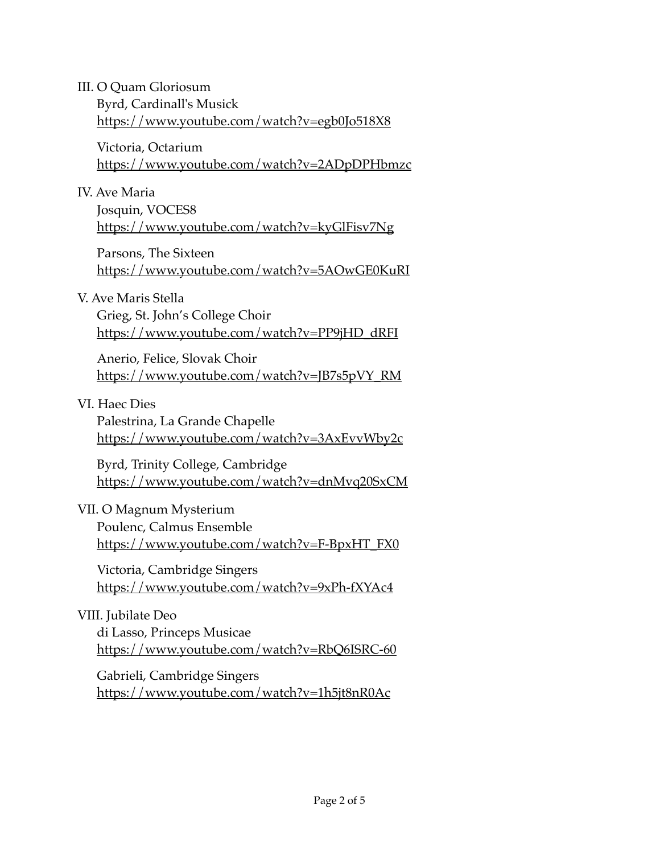III. O Quam Gloriosum Byrd, Cardinall's Musick <https://www.youtube.com/watch?v=egb0Jo518X8>

Victoria, Octarium <https://www.youtube.com/watch?v=2ADpDPHbmzc>

IV. Ave Maria

Josquin, VOCES8 <https://www.youtube.com/watch?v=kyGlFisv7Ng>

Parsons, The Sixteen <https://www.youtube.com/watch?v=5AOwGE0KuRI>

V. Ave Maris Stella

Grieg, St. John's College Choir [https://www.youtube.com/watch?v=PP9jHD\\_dRFI](https://www.youtube.com/watch?v=PP9jHD_dRFI)

Anerio, Felice, Slovak Choir [https://www.youtube.com/watch?v=JB7s5pVY\\_RM](https://www.youtube.com/watch?v=JB7s5pVY_RM)

VI. Haec Dies

Palestrina, La Grande Chapelle <https://www.youtube.com/watch?v=3AxEvvWby2c>

Byrd, Trinity College, Cambridge <https://www.youtube.com/watch?v=dnMvq20SxCM>

## VII. O Magnum Mysterium

Poulenc, Calmus Ensemble [https://www.youtube.com/watch?v=F-BpxHT\\_FX0](https://www.youtube.com/watch?v=F-BpxHT_FX0)

Victoria, Cambridge Singers <https://www.youtube.com/watch?v=9xPh-fXYAc4>

#### VIII. Jubilate Deo

di Lasso, Princeps Musicae <https://www.youtube.com/watch?v=RbQ6ISRC-60>

Gabrieli, Cambridge Singers <https://www.youtube.com/watch?v=1h5jt8nR0Ac>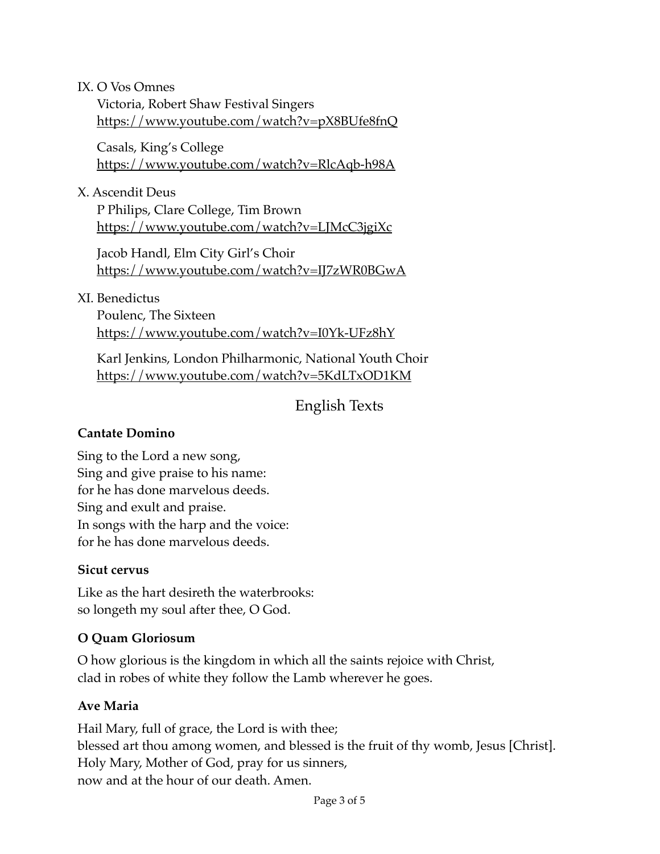#### IX. O Vos Omnes

Victoria, Robert Shaw Festival Singers <https://www.youtube.com/watch?v=pX8BUfe8fnQ>

Casals, King's College <https://www.youtube.com/watch?v=RlcAqb-h98A>

X. Ascendit Deus

P Philips, Clare College, Tim Brown <https://www.youtube.com/watch?v=LJMcC3jgiXc>

Jacob Handl, Elm City Girl's Choir <https://www.youtube.com/watch?v=IJ7zWR0BGwA>

XI. Benedictus

Poulenc, The Sixteen <https://www.youtube.com/watch?v=I0Yk-UFz8hY>

Karl Jenkins, London Philharmonic, National Youth Choir <https://www.youtube.com/watch?v=5KdLTxOD1KM>

# English Texts

#### **Cantate Domino**

Sing to the Lord a new song, Sing and give praise to his name: for he has done marvelous deeds. Sing and exult and praise. In songs with the harp and the voice: for he has done marvelous deeds.

#### **Sicut cervus**

Like as the hart desireth the waterbrooks: so longeth my soul after thee, O God.

## **O Quam Gloriosum**

O how glorious is the kingdom in which all the saints rejoice with Christ, clad in robes of white they follow the Lamb wherever he goes.

#### **Ave Maria**

Hail Mary, full of grace, the Lord is with thee; blessed art thou among women, and blessed is the fruit of thy womb, Jesus [Christ]. Holy Mary, Mother of God, pray for us sinners, now and at the hour of our death. Amen.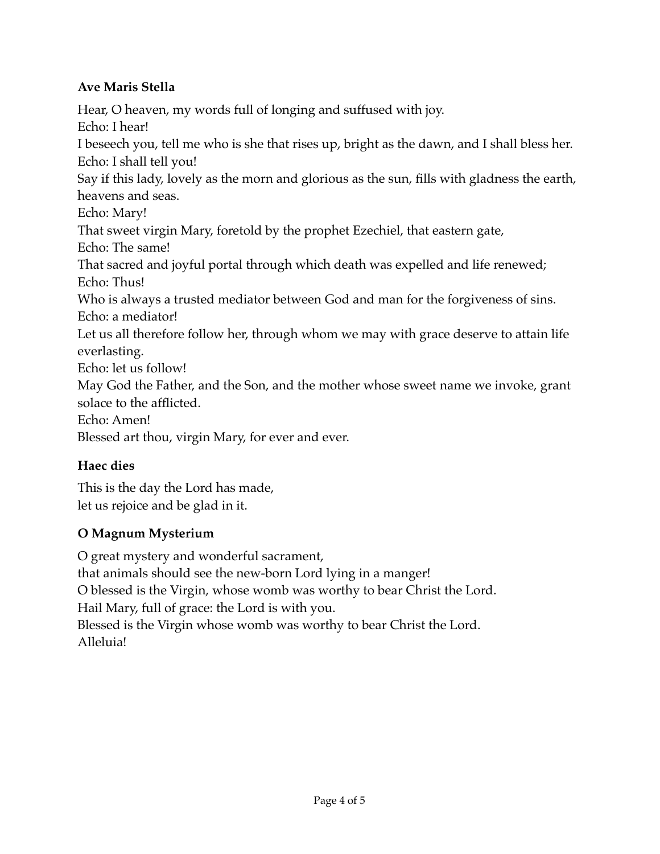#### **Ave Maris Stella**

Hear, O heaven, my words full of longing and suffused with joy. Echo: I hear! I beseech you, tell me who is she that rises up, bright as the dawn, and I shall bless her. Echo: I shall tell you! Say if this lady, lovely as the morn and glorious as the sun, fills with gladness the earth, heavens and seas. Echo: Mary! That sweet virgin Mary, foretold by the prophet Ezechiel, that eastern gate, Echo: The same! That sacred and joyful portal through which death was expelled and life renewed; Echo: Thus! Who is always a trusted mediator between God and man for the forgiveness of sins. Echo: a mediator! Let us all therefore follow her, through whom we may with grace deserve to attain life everlasting. Echo: let us follow! May God the Father, and the Son, and the mother whose sweet name we invoke, grant solace to the afflicted. Echo: Amen! Blessed art thou, virgin Mary, for ever and ever.

## **Haec dies**

This is the day the Lord has made, let us rejoice and be glad in it.

## **O Magnum Mysterium**

O great mystery and wonderful sacrament, that animals should see the new-born Lord lying in a manger! O blessed is the Virgin, whose womb was worthy to bear Christ the Lord. Hail Mary, full of grace: the Lord is with you. Blessed is the Virgin whose womb was worthy to bear Christ the Lord. Alleluia!